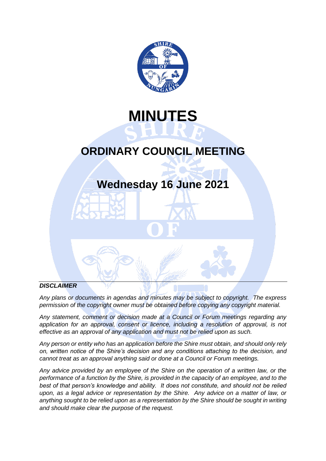

# **MINUTES**

# **ORDINARY COUNCIL MEETING**

# **Wednesday 16 June 2021**

# *DISCLAIMER*

*Any plans or documents in agendas and minutes may be subject to copyright. The express permission of the copyright owner must be obtained before copying any copyright material.*

*Any statement, comment or decision made at a Council or Forum meetings regarding any application for an approval, consent or licence, including a resolution of approval, is not effective as an approval of any application and must not be relied upon as such.*

*Any person or entity who has an application before the Shire must obtain, and should only rely on, written notice of the Shire's decision and any conditions attaching to the decision, and cannot treat as an approval anything said or done at a Council or Forum meetings.*

*Any advice provided by an employee of the Shire on the operation of a written law, or the performance of a function by the Shire, is provided in the capacity of an employee, and to the best of that person's knowledge and ability. It does not constitute, and should not be relied upon, as a legal advice or representation by the Shire. Any advice on a matter of law, or anything sought to be relied upon as a representation by the Shire should be sought in writing and should make clear the purpose of the request.*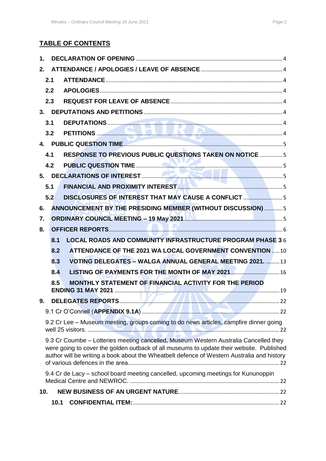# **TABLE OF CONTENTS**

| $\mathbf{1}$ . |      |                                                                                                                                                                                                                                                                                |  |
|----------------|------|--------------------------------------------------------------------------------------------------------------------------------------------------------------------------------------------------------------------------------------------------------------------------------|--|
| 2.             |      |                                                                                                                                                                                                                                                                                |  |
|                | 2.1  |                                                                                                                                                                                                                                                                                |  |
|                | 2.2  |                                                                                                                                                                                                                                                                                |  |
|                | 2.3  |                                                                                                                                                                                                                                                                                |  |
|                |      |                                                                                                                                                                                                                                                                                |  |
|                | 3.1  |                                                                                                                                                                                                                                                                                |  |
|                | 3.2  |                                                                                                                                                                                                                                                                                |  |
|                |      |                                                                                                                                                                                                                                                                                |  |
|                | 4.1  | RESPONSE TO PREVIOUS PUBLIC QUESTIONS TAKEN ON NOTICE  5                                                                                                                                                                                                                       |  |
|                | 4.2  |                                                                                                                                                                                                                                                                                |  |
|                |      |                                                                                                                                                                                                                                                                                |  |
|                | 5.1  |                                                                                                                                                                                                                                                                                |  |
|                | 5.2  | DISCLOSURES OF INTEREST THAT MAY CAUSE A CONFLICT 5                                                                                                                                                                                                                            |  |
| 6.             |      | ANNOUNCEMENT BY THE PRESIDING MEMBER (WITHOUT DISCUSSION)  5                                                                                                                                                                                                                   |  |
| 7.             |      | <b>ORDINARY COUNCIL MEETING - 19 May 2021 MM 2021 10 MM 2021 10:00 10:00 MM 2021 10:00 10:00 MM 2021 10:00 10:00</b>                                                                                                                                                           |  |
| 8.             |      |                                                                                                                                                                                                                                                                                |  |
|                | 8.1  | <b>LOCAL ROADS AND COMMUNITY INFRASTRUCTURE PROGRAM PHASE 36</b>                                                                                                                                                                                                               |  |
|                | 8.2  | ATTENDANCE OF THE 2021 WA LOCAL GOVERNMENT CONVENTION  10                                                                                                                                                                                                                      |  |
|                | 8.3  | VOTING DELEGATES - WALGA ANNUAL GENERAL MEETING 2021.  13                                                                                                                                                                                                                      |  |
|                | 8.4  |                                                                                                                                                                                                                                                                                |  |
|                | 8.5  | MONTHLY STATEMENT OF FINANCIAL ACTIVITY FOR THE PERIOD                                                                                                                                                                                                                         |  |
|                |      |                                                                                                                                                                                                                                                                                |  |
| Q.             |      |                                                                                                                                                                                                                                                                                |  |
|                |      |                                                                                                                                                                                                                                                                                |  |
|                |      | 9.2 Cr Lee - Museum meeting, groups coming to do news articles, campfire dinner going                                                                                                                                                                                          |  |
|                |      | 9.3 Cr Coumbe - Lotteries meeting cancelled, Museum Western Australia Cancelled they<br>were going to cover the golden outback of all museums to update their website. Published<br>author will be writing a book about the Wheatbelt defence of Western Australia and history |  |
|                |      | 9.4 Cr de Lacy - school board meeting cancelled, upcoming meetings for Kununoppin                                                                                                                                                                                              |  |
| 10.            |      |                                                                                                                                                                                                                                                                                |  |
|                | 10.1 |                                                                                                                                                                                                                                                                                |  |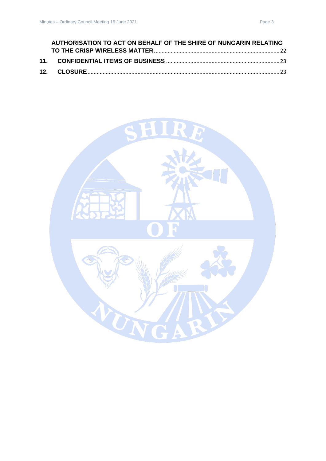| AUTHORISATION TO ACT ON BEHALF OF THE SHIRE OF NUNGARIN RELATING |  |
|------------------------------------------------------------------|--|
|                                                                  |  |
|                                                                  |  |
|                                                                  |  |

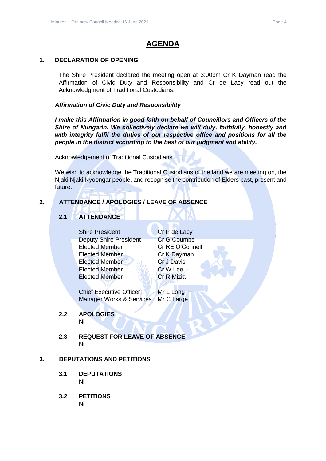# **AGENDA**

# <span id="page-3-0"></span>**1. DECLARATION OF OPENING**

The Shire President declared the meeting open at 3:00pm Cr K Dayman read the Affirmation of Civic Duty and Responsibility and Cr de Lacy read out the Acknowledgment of Traditional Custodians.

*Affirmation of Civic Duty and Responsibility*

*I make this Affirmation in good faith on behalf of Councillors and Officers of the Shire of Nungarin. We collectively declare we will duly, faithfully, honestly and with integrity fulfil the duties of our respective office and positions for all the people in the district according to the best of our judgment and ability.*

Acknowledgement of Traditional Custodians

We wish to acknowledge the Traditional Custodians of the land we are meeting on, the Njaki Njaki Nyoongar people, and recognise the contribution of Elders past, present and future.

# <span id="page-3-2"></span><span id="page-3-1"></span>**2. ATTENDANCE / APOLOGIES / LEAVE OF ABSENCE**

# **2.1 ATTENDANCE**

Shire President Cr P de Lacy Deputy Shire President Cr G Coumbe Elected Member Cr RE O'Connell Elected Member Cr K Dayman Elected Member Cr J Davis Elected Member Cr W Lee Elected Member Cr R Mizia

Chief Executive Officer Mr L Long Manager Works & Services Mr C Large

# <span id="page-3-3"></span>**2.2 APOLOGIES**

Nil

<span id="page-3-4"></span>**2.3 REQUEST FOR LEAVE OF ABSENCE** Nil

# <span id="page-3-6"></span><span id="page-3-5"></span>**3. DEPUTATIONS AND PETITIONS**

- **3.1 DEPUTATIONS** Nil
- <span id="page-3-7"></span>**3.2 PETITIONS** Nil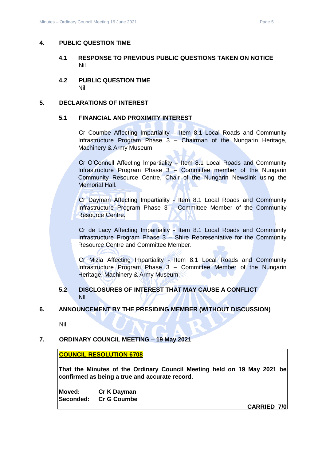# <span id="page-4-1"></span><span id="page-4-0"></span>**4. PUBLIC QUESTION TIME**

- **4.1 RESPONSE TO PREVIOUS PUBLIC QUESTIONS TAKEN ON NOTICE** Nil
- <span id="page-4-2"></span>**4.2 PUBLIC QUESTION TIME** Nil

# <span id="page-4-4"></span><span id="page-4-3"></span>**5. DECLARATIONS OF INTEREST**

# **5.1 FINANCIAL AND PROXIMITY INTEREST**

Cr Coumbe Affecting Impartiality – Item 8.1 Local Roads and Community Infrastructure Program Phase 3 – Chairman of the Nungarin Heritage, Machinery & Army Museum.

Cr O'Connell Affecting Impartiality – Item 8.1 Local Roads and Community Infrastructure Program Phase 3 – Committee member of the Nungarin Community Resource Centre, Chair of the Nungarin Newslink using the Memorial Hall.

Cr Dayman Affecting Impartiality - Item 8.1 Local Roads and Community Infrastructure Program Phase 3 – Committee Member of the Community Resource Centre.

Cr de Lacy Affecting Impartiality - Item 8.1 Local Roads and Community Infrastructure Program Phase 3 – Shire Representative for the Community Resource Centre and Committee Member.

Cr Mizia Affecting Impartiality - Item 8.1 Local Roads and Community Infrastructure Program Phase 3 – Committee Member of the Nungarin Heritage, Machinery & Army Museum.

# **5.2 DISCLOSURES OF INTEREST THAT MAY CAUSE A CONFLICT** Nil

# <span id="page-4-6"></span><span id="page-4-5"></span>**6. ANNOUNCEMENT BY THE PRESIDING MEMBER (WITHOUT DISCUSSION)**

Nil

# <span id="page-4-7"></span>**7. ORDINARY COUNCIL MEETING – 19 May 2021**

# **COUNCIL RESOLUTION 6708**

**That the Minutes of the Ordinary Council Meeting held on 19 May 2021 be confirmed as being a true and accurate record.**

**Moved: Cr K Dayman Seconded: Cr G Coumbe**

**CARRIED 7/0**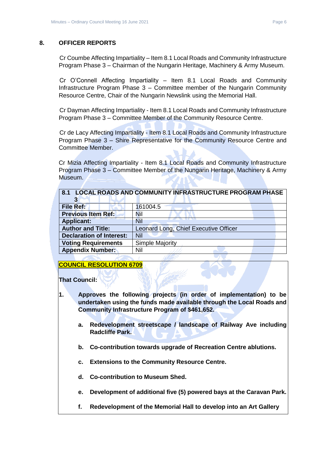# <span id="page-5-0"></span>**8. OFFICER REPORTS**

Cr Coumbe Affecting Impartiality – Item 8.1 Local Roads and Community Infrastructure Program Phase 3 – Chairman of the Nungarin Heritage, Machinery & Army Museum.

Cr O'Connell Affecting Impartiality – Item 8.1 Local Roads and Community Infrastructure Program Phase 3 – Committee member of the Nungarin Community Resource Centre, Chair of the Nungarin Newslink using the Memorial Hall.

Cr Dayman Affecting Impartiality - Item 8.1 Local Roads and Community Infrastructure Program Phase 3 – Committee Member of the Community Resource Centre.

Cr de Lacy Affecting Impartiality - Item 8.1 Local Roads and Community Infrastructure Program Phase 3 – Shire Representative for the Community Resource Centre and Committee Member.

Cr Mizia Affecting Impartiality - Item 8.1 Local Roads and Community Infrastructure Program Phase 3 – Committee Member of the Nungarin Heritage, Machinery & Army Museum.

<span id="page-5-1"></span>

| 8.1 LOCAL ROADS AND COMMUNITY INFRASTRUCTURE PROGRAM PHASE |                                       |  |  |
|------------------------------------------------------------|---------------------------------------|--|--|
| <b>File Ref:</b>                                           | 161004.5                              |  |  |
| <b>Previous Item Ref:</b>                                  | Nil                                   |  |  |
| <b>Applicant:</b>                                          | <b>Nil</b>                            |  |  |
| <b>Author and Title:</b>                                   | Leonard Long, Chief Executive Officer |  |  |
| <b>Declaration of Interest:</b>                            | Nil                                   |  |  |
| <b>Voting Requirements</b>                                 | Simple Majority                       |  |  |
| <b>Appendix Number:</b>                                    | Nil                                   |  |  |

# **COUNCIL RESOLUTION 6709**

**That Council:**

- **1. Approves the following projects (in order of implementation) to be undertaken using the funds made available through the Local Roads and Community Infrastructure Program of \$461,652.**
	- **a. Redevelopment streetscape / landscape of Railway Ave including Radcliffe Park.**
	- **b. Co-contribution towards upgrade of Recreation Centre ablutions.**
	- **c. Extensions to the Community Resource Centre.**
	- **d. Co-contribution to Museum Shed.**
	- **e. Development of additional five (5) powered bays at the Caravan Park.**
	- **f. Redevelopment of the Memorial Hall to develop into an Art Gallery**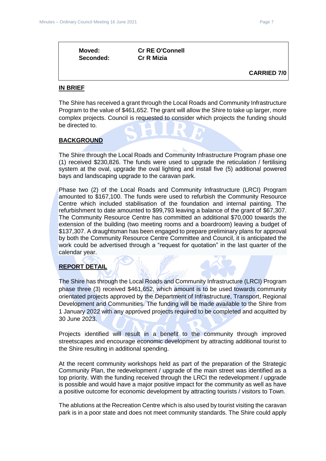| Moved:    | <b>Cr RE O'Connell</b> |                    |
|-----------|------------------------|--------------------|
| Seconded: | <b>Cr R Mizia</b>      |                    |
|           |                        | <b>CARRIED 7/0</b> |

# **IN BRIEF**

The Shire has received a grant through the Local Roads and Community Infrastructure Program to the value of \$461,652. The grant will allow the Shire to take up larger, more complex projects. Council is requested to consider which projects the funding should be directed to.

# **BACKGROUND**

The Shire through the Local Roads and Community Infrastructure Program phase one (1) received \$230,826. The funds were used to upgrade the reticulation / fertilising system at the oval, upgrade the oval lighting and install five (5) additional powered bays and landscaping upgrade to the caravan park.

Phase two (2) of the Local Roads and Community Infrastructure (LRCI) Program amounted to \$167,100. The funds were used to refurbish the Community Resource Centre which included stabilisation of the foundation and internal painting. The refurbishment to date amounted to \$99,793 leaving a balance of the grant of \$67,307. The Community Resource Centre has committed an additional \$70,000 towards the extension of the building (two meeting rooms and a boardroom) leaving a budget of \$137,307. A draughtsman has been engaged to prepare preliminary plans for approval by both the Community Resource Centre Committee and Council, it is anticipated the work could be advertised through a "request for quotation" in the last quarter of the calendar year.

# **REPORT DETAIL**

The Shire has through the Local Roads and Community Infrastructure (LRCI) Program phase three (3) received \$461,652, which amount is to be used towards community orientated projects approved by the Department of Infrastructure, Transport, Regional Development and Communities. The funding will be made available to the Shire from 1 January 2022 with any approved projects required to be completed and acquitted by 30 June 2023.

Projects identified will result in a benefit to the community through improved streetscapes and encourage economic development by attracting additional tourist to the Shire resulting in additional spending.

At the recent community workshops held as part of the preparation of the Strategic Community Plan, the redevelopment / upgrade of the main street was identified as a top priority. With the funding received through the LRCI the redevelopment / upgrade is possible and would have a major positive impact for the community as well as have a positive outcome for economic development by attracting tourists / visitors to Town.

The ablutions at the Recreation Centre which is also used by tourist visiting the caravan park is in a poor state and does not meet community standards. The Shire could apply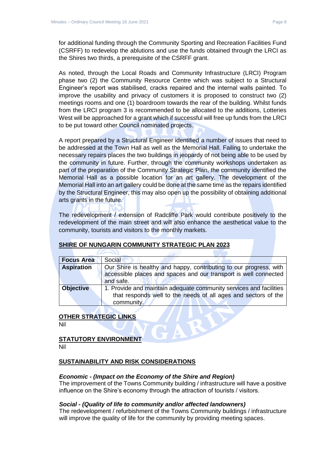for additional funding through the Community Sporting and Recreation Facilities Fund (CSRFF) to redevelop the ablutions and use the funds obtained through the LRCI as the Shires two thirds, a prerequisite of the CSRFF grant.

As noted, through the Local Roads and Community Infrastructure (LRCI) Program phase two (2) the Community Resource Centre which was subject to a Structural Engineer's report was stabilised, cracks repaired and the internal walls painted. To improve the usability and privacy of customers it is proposed to construct two (2) meetings rooms and one (1) boardroom towards the rear of the building. Whilst funds from the LRCI program 3 is recommended to be allocated to the additions, Lotteries West will be approached for a grant which if successful will free up funds from the LRCI to be put toward other Council nominated projects.

A report prepared by a Structural Engineer identified a number of issues that need to be addressed at the Town Hall as well as the Memorial Hall. Failing to undertake the necessary repairs places the two buildings in jeopardy of not being able to be used by the community in future. Further, through the community workshops undertaken as part of the preparation of the Community Strategic Plan, the community identified the Memorial Hall as a possible location for an art gallery. The development of the Memorial Hall into an art gallery could be done at the same time as the repairs identified by the Structural Engineer, this may also open up the possibility of obtaining additional arts grants in the future.

The redevelopment / extension of Radcliffe Park would contribute positively to the redevelopment of the main street and will also enhance the aesthetical value to the community, tourists and visitors to the monthly markets.

| <b>Focus Area</b> | Social                                                                                                                               |  |  |
|-------------------|--------------------------------------------------------------------------------------------------------------------------------------|--|--|
| <b>Aspiration</b> | Our Shire is healthy and happy, contributing to our progress, with                                                                   |  |  |
|                   | accessible places and spaces and our transport is well connected                                                                     |  |  |
|                   | and safe.                                                                                                                            |  |  |
| <b>Objective</b>  | 1. Provide and maintain adequate community services and facilities<br>that responds well to the needs of all ages and sectors of the |  |  |
|                   | community.                                                                                                                           |  |  |

# **SHIRE OF NUNGARIN COMMUNITY STRATEGIC PLAN 2023**

# **OTHER STRATEGIC LINKS**

Nil

### **STATUTORY ENVIRONMENT** Nil

# **SUSTAINABILITY AND RISK CONSIDERATIONS**

# *Economic - (Impact on the Economy of the Shire and Region)*

The improvement of the Towns Community building / infrastructure will have a positive influence on the Shire's economy through the attraction of tourists / visitors.

# *Social - (Quality of life to community and/or affected landowners)*

The redevelopment / refurbishment of the Towns Community buildings / infrastructure will improve the quality of life for the community by providing meeting spaces.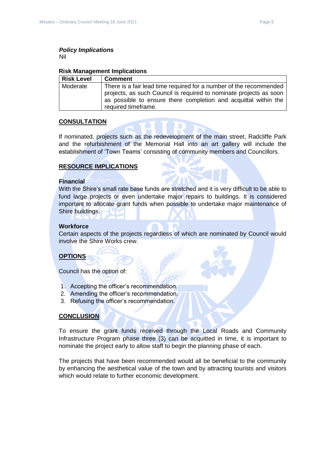# *Policy Implications*

Nil

### **Risk Management Implications**

| <b>Risk Level</b> | <b>Comment</b>                                                                                                                                                                                                                     |
|-------------------|------------------------------------------------------------------------------------------------------------------------------------------------------------------------------------------------------------------------------------|
| Moderate          | There is a fair lead time required for a number of the recommended<br>projects, as such Council is required to nominate projects as soon<br>as possible to ensure there completion and acquittal within the<br>required timeframe. |

# **CONSULTATION**

If nominated, projects such as the redevelopment of the main street, Radcliffe Park and the refurbishment of the Memorial Hall into an art gallery will include the establishment of 'Town Teams' consisting of community members and Councillors.

# **RESOURCE IMPLICATIONS**

### **Financial**

With the Shire's small rate base funds are stretched and it is very difficult to be able to fund large projects or even undertake major repairs to buildings. It is considered important to allocate grant funds when possible to undertake major maintenance of Shire buildings.

### **Workforce**

Certain aspects of the projects regardless of which are nominated by Council would involve the Shire Works crew.

# **OPTIONS**

Council has the option of:

- 1. Accepting the officer's recommendation.
- 2. Amending the officer's recommendation.
- 3. Refusing the officer's recommendation.

# **CONCLUSION**

To ensure the grant funds received through the Local Roads and Community Infrastructure Program phase three (3) can be acquitted in time, it is important to nominate the project early to allow staff to begin the planning phase of each.

The projects that have been recommended would all be beneficial to the community by enhancing the aesthetical value of the town and by attracting tourists and visitors which would relate to further economic development.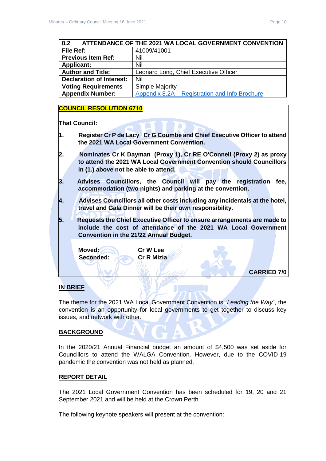<span id="page-9-0"></span>

| 8.2                             | ATTENDANCE OF THE 2021 WA LOCAL GOVERNMENT CONVENTION |
|---------------------------------|-------------------------------------------------------|
| File Ref:                       | 41009/41001                                           |
| <b>Previous Item Ref:</b>       | Nil                                                   |
| <b>Applicant:</b>               | Nil                                                   |
| <b>Author and Title:</b>        | Leonard Long, Chief Executive Officer                 |
| <b>Declaration of Interest:</b> | Nil                                                   |
| <b>Voting Requirements</b>      | <b>Simple Majority</b>                                |
| <b>Appendix Number:</b>         | Appendix 8.2A – Registration and Info Brochure        |

# **COUNCIL RESOLUTION 6710**

**That Council:**

- **1. Register Cr P de Lacy Cr G Coumbe and Chief Executive Officer to attend the 2021 WA Local Government Convention.**
- **2. Nominates Cr K Dayman (Proxy 1), Cr RE O'Connell (Proxy 2) as proxy to attend the 2021 WA Local Government Convention should Councillors in (1.) above not be able to attend.**
- **3. Advises Councillors, the Council will pay the registration fee, accommodation (two nights) and parking at the convention.**
- **4. Advises Councillors all other costs including any incidentals at the hotel, travel and Gala Dinner will be their own responsibility.**
- **5. Requests the Chief Executive Officer to ensure arrangements are made to include the cost of attendance of the 2021 WA Local Government Convention in the 21/22 Annual Budget.**

**Moved: Cr W Lee**

**Seconded: Cr R Mizia**

**CARRIED 7/0**

# **IN BRIEF**

The theme for the 2021 WA Local Government Convention is *"Leading the Way*", the convention is an opportunity for local governments to get together to discuss key issues, and network with other.

# **BACKGROUND**

In the 2020/21 Annual Financial budget an amount of \$4,500 was set aside for Councillors to attend the WALGA Convention. However, due to the COVID-19 pandemic the convention was not held as planned.

# **REPORT DETAIL**

The 2021 Local Government Convention has been scheduled for 19, 20 and 21 September 2021 and will be held at the Crown Perth.

The following keynote speakers will present at the convention: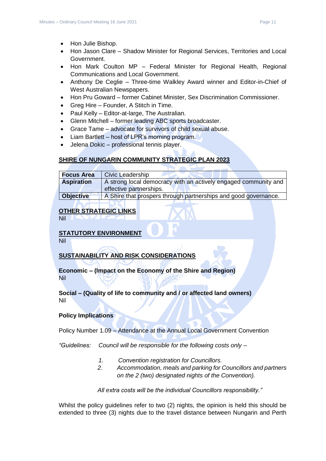- Hon Julie Bishop.
- Hon Jason Clare Shadow Minister for Regional Services, Territories and Local Government.
- Hon Mark Coulton MP Federal Minister for Regional Health, Regional Communications and Local Government.
- Anthony De Ceglie Three-time Walkley Award winner and Editor-in-Chief of West Australian Newspapers.
- Hon Pru Goward former Cabinet Minister, Sex Discrimination Commissioner.
- Greg Hire Founder, A Stitch in Time.
- Paul Kelly Editor-at-large, The Australian.
- Glenn Mitchell former leading ABC sports broadcaster.
- Grace Tame advocate for survivors of child sexual abuse.
- Liam Bartlett host of LPR's morning program.
- Jelena Dokic professional tennis player.

### **SHIRE OF NUNGARIN COMMUNITY STRATEGIC PLAN 2023**

| <b>Focus Area</b> | <b>Civic Leadership</b>                                                                    |
|-------------------|--------------------------------------------------------------------------------------------|
| <b>Aspiration</b> | A strong local democracy with an actively engaged community and<br>effective partnerships. |
| <b>Objective</b>  | A Shire that prospers through partnerships and good governance.                            |

# **OTHER STRATEGIC LINKS**

Nil

# **STATUTORY ENVIRONMENT**

Nil

# **SUSTAINABILITY AND RISK CONSIDERATIONS**

**Economic – (Impact on the Economy of the Shire and Region)** Nil

# **Social – (Quality of life to community and / or affected land owners)** Nil

# **Policy Implications**

Policy Number 1.09 – Attendance at the Annual Local Government Convention

*"Guidelines: Council will be responsible for the following costs only –*

- *1. Convention registration for Councillors.*
- *2. Accommodation, meals and parking for Councillors and partners on the 2 (two) designated nights of the Convention).*

*All extra costs will be the individual Councillors responsibility."*

Whilst the policy guidelines refer to two (2) nights, the opinion is held this should be extended to three (3) nights due to the travel distance between Nungarin and Perth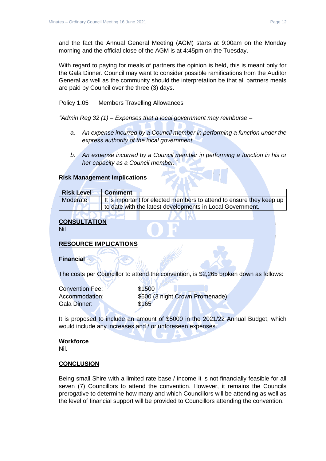and the fact the Annual General Meeting (AGM) starts at 9:00am on the Monday morning and the official close of the AGM is at 4:45pm on the Tuesday.

With regard to paying for meals of partners the opinion is held, this is meant only for the Gala Dinner. Council may want to consider possible ramifications from the Auditor General as well as the community should the interpretation be that all partners meals are paid by Council over the three (3) days.

Policy 1.05 Members Travelling Allowances

*"Admin Reg 32 (1) – Expenses that a local government may reimburse –*

- *a. An expense incurred by a Council member in performing a function under the express authority of the local government.*
- *b. An expense incurred by a Council member in performing a function in his or her capacity as a Council member."*

# **Risk Management Implications**

| <b>Risk Level</b> | <b>Comment</b>                                                       |
|-------------------|----------------------------------------------------------------------|
| Moderate          | It is important for elected members to attend to ensure they keep up |
|                   | to date with the latest developments in Local Government.            |

# **CONSULTATION**

Nil

# **RESOURCE IMPLICATIONS**

# **Financial**

The costs per Councillor to attend the convention, is \$2,265 broken down as follows:

| <b>Convention Fee:</b> |
|------------------------|
| Accommodation:         |
| Gala Dinner:           |

 $$1500$ \$600 (3 night Crown Promenade)  $$165$ 

It is proposed to include an amount of \$5000 in the 2021/22 Annual Budget, which would include any increases and / or unforeseen expenses.

### **Workforce**

Nil.

### **CONCLUSION**

Being small Shire with a limited rate base / income it is not financially feasible for all seven (7) Councillors to attend the convention. However, it remains the Councils prerogative to determine how many and which Councillors will be attending as well as the level of financial support will be provided to Councillors attending the convention.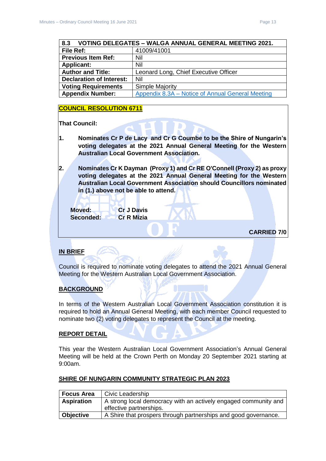<span id="page-12-0"></span>

| VOTING DELEGATES - WALGA ANNUAL GENERAL MEETING 2021.<br>8.3 |                                                  |  |
|--------------------------------------------------------------|--------------------------------------------------|--|
| File Ref:                                                    | 41009/41001                                      |  |
| <b>Previous Item Ref:</b>                                    | Nil                                              |  |
| <b>Applicant:</b>                                            | Nil                                              |  |
| <b>Author and Title:</b>                                     | Leonard Long, Chief Executive Officer            |  |
| <b>Declaration of Interest:</b>                              | Nil                                              |  |
| <b>Voting Requirements</b>                                   | <b>Simple Majority</b>                           |  |
| <b>Appendix Number:</b>                                      | Appendix 8.3A – Notice of Annual General Meeting |  |

# **COUNCIL RESOLUTION 6711**

**That Council:**

- **1. Nominates Cr P de Lacy and Cr G Coumbe to be the Shire of Nungarin's voting delegates at the 2021 Annual General Meeting for the Western Australian Local Government Association.**
- **2. Nominates Cr K Dayman (Proxy 1) and Cr RE O'Connell (Proxy 2) as proxy voting delegates at the 2021 Annual General Meeting for the Western Australian Local Government Association should Councillors nominated in (1.) above not be able to attend.**

**Moved: Cr J Davis Seconded: Cr R Mizia**

**CARRIED 7/0**

# **IN BRIEF**

Council is required to nominate voting delegates to attend the 2021 Annual General Meeting for the Western Australian Local Government Association.

# **BACKGROUND**

In terms of the Western Australian Local Government Association constitution it is required to hold an Annual General Meeting, with each member Council requested to nominate two (2) voting delegates to represent the Council at the meeting.

# **REPORT DETAIL**

This year the Western Australian Local Government Association's Annual General Meeting will be held at the Crown Perth on Monday 20 September 2021 starting at 9:00am.

# **SHIRE OF NUNGARIN COMMUNITY STRATEGIC PLAN 2023**

| <b>Focus Area</b> | Civic Leadership                                                                           |
|-------------------|--------------------------------------------------------------------------------------------|
| <b>Aspiration</b> | A strong local democracy with an actively engaged community and<br>effective partnerships. |
| <b>Objective</b>  | A Shire that prospers through partnerships and good governance.                            |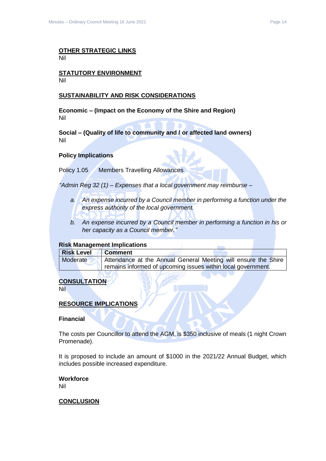### **OTHER STRATEGIC LINKS** Nil

### **STATUTORY ENVIRONMENT** Nil

# **SUSTAINABILITY AND RISK CONSIDERATIONS**

**Economic – (Impact on the Economy of the Shire and Region)** Nil

**Social – (Quality of life to community and / or affected land owners)** Nil

# **Policy Implications**

Policy 1.05 Members Travelling Allowances

*"Admin Reg 32 (1) – Expenses that a local government may reimburse –*

- *a. An expense incurred by a Council member in performing a function under the express authority of the local government.*
- *b. An expense incurred by a Council member in performing a function in his or her capacity as a Council member."*

### **Risk Management Implications**

| <b>Risk Level</b> | Comment                                                        |
|-------------------|----------------------------------------------------------------|
| Moderate          | Attendance at the Annual General Meeting will ensure the Shire |
|                   | remains informed of upcoming issues within local government.   |

# **CONSULTATION**

Nil

# **RESOURCE IMPLICATIONS**

### **Financial**

The costs per Councillor to attend the AGM, is \$350 inclusive of meals (1 night Crown Promenade).

It is proposed to include an amount of \$1000 in the 2021/22 Annual Budget, which includes possible increased expenditure.

### **Workforce** Nil

# **CONCLUSION**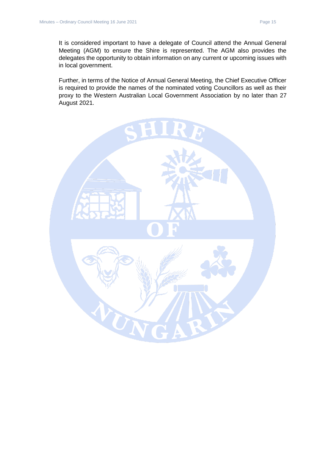It is considered important to have a delegate of Council attend the Annual General Meeting (AGM) to ensure the Shire is represented. The AGM also provides the delegates the opportunity to obtain information on any current or upcoming issues with in local government.

Further, in terms of the Notice of Annual General Meeting, the Chief Executive Officer is required to provide the names of the nominated voting Councillors as well as their proxy to the Western Australian Local Government Association by no later than 27 August 2021.

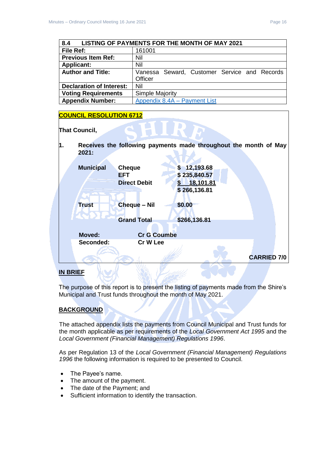<span id="page-15-0"></span>

| LISTING OF PAYMENTS FOR THE MONTH OF MAY 2021<br>8.4 |                                              |  |  |  |
|------------------------------------------------------|----------------------------------------------|--|--|--|
| <b>File Ref:</b>                                     | 161001                                       |  |  |  |
| <b>Previous Item Ref:</b>                            | Nil                                          |  |  |  |
| <b>Applicant:</b>                                    | Nil                                          |  |  |  |
| <b>Author and Title:</b>                             | Vanessa Seward, Customer Service and Records |  |  |  |
|                                                      | Officer                                      |  |  |  |
| <b>Declaration of Interest:</b>                      | Nil                                          |  |  |  |
| <b>Voting Requirements</b>                           | <b>Simple Majority</b>                       |  |  |  |
| <b>Appendix Number:</b>                              | Appendix 8.4A - Payment List                 |  |  |  |

# **COUNCIL RESOLUTION 6712**



**1. Receives the following payments made throughout the month of May 2021:**  $\mathbf{z}$ 

| <b>Municipal</b> | <b>Cheque</b>       | \$12,193.68  |                    |  |
|------------------|---------------------|--------------|--------------------|--|
|                  | <b>EFT</b>          | \$235,840.57 |                    |  |
|                  | <b>Direct Debit</b> | 18,101.81    |                    |  |
|                  |                     | \$266,136.81 |                    |  |
|                  |                     |              |                    |  |
| <b>Trust</b>     | <b>Cheque - Nil</b> | \$0.00       |                    |  |
|                  |                     |              |                    |  |
|                  | <b>Grand Total</b>  | \$266,136.81 |                    |  |
|                  |                     |              |                    |  |
| <b>Moved:</b>    | <b>Cr G Coumbe</b>  |              |                    |  |
| Seconded:        | Cr W Lee            |              |                    |  |
|                  |                     |              |                    |  |
|                  |                     |              | <b>CARRIED 7/0</b> |  |

# **IN BRIEF**

The purpose of this report is to present the listing of payments made from the Shire's Municipal and Trust funds throughout the month of May 2021.

# **BACKGROUND**

The attached appendix lists the payments from Council Municipal and Trust funds for the month applicable as per requirements of the *Local Government Act 1995* and the *Local Government (Financial Management) Regulations 1996*.

As per Regulation 13 of the *Local Government (Financial Management) Regulations 1996* the following information is required to be presented to Council.

- The Payee's name.
- The amount of the payment.
- The date of the Payment; and
- Sufficient information to identify the transaction.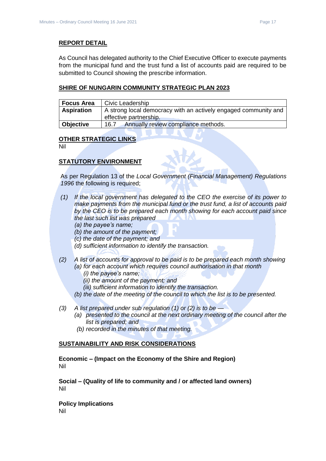# **REPORT DETAIL**

As Council has delegated authority to the Chief Executive Officer to execute payments from the municipal fund and the trust fund a list of accounts paid are required to be submitted to Council showing the prescribe information.

# **SHIRE OF NUNGARIN COMMUNITY STRATEGIC PLAN 2023**

| <b>Focus Area</b> | Civic Leadership                                                                          |
|-------------------|-------------------------------------------------------------------------------------------|
| <b>Aspiration</b> | A strong local democracy with an actively engaged community and<br>effective partnership. |
| Objective         | Annually review compliance methods.<br>16.7                                               |

# **OTHER STRATEGIC LINKS**

Nil

# **STATUTORY ENVIRONMENT**

As per Regulation 13 of the *Local Government (Financial Management) Regulations 1996* the following is required;

- *(1) If the local government has delegated to the CEO the exercise of its power to make payments from the municipal fund or the trust fund, a list of accounts paid by the CEO is to be prepared each month showing for each account paid since the last such list was prepared* 
	- *(a) the payee's name;*
	- *(b) the amount of the payment;*
	- *(c) the date of the payment; and*
	- *(d) sufficient information to identify the transaction.*
- *(2) A list of accounts for approval to be paid is to be prepared each month showing (a) for each account which requires council authorisation in that month* 
	- *(i) the payee's name;*
	- *(ii) the amount of the payment; and*
	- *(iii) sufficient information to identify the transaction.*
	- *(b) the date of the meeting of the council to which the list is to be presented.*
- *(3) A list prepared under sub regulation (1) or (2) is to be —*
	- *(a) presented to the council at the next ordinary meeting of the council after the list is prepared; and*
	- *(b) recorded in the minutes of that meeting.*

# **SUSTAINABILITY AND RISK CONSIDERATIONS**

**Economic – (Impact on the Economy of the Shire and Region)** Nil

**Social – (Quality of life to community and / or affected land owners)** Nil

**Policy Implications** Nil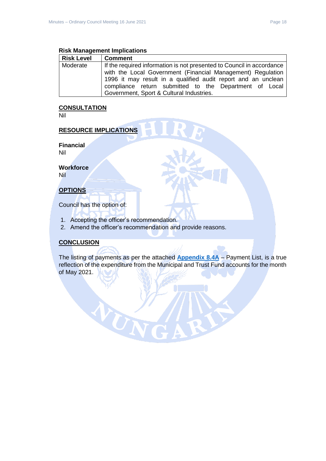# **Risk Management Implications**

| <b>Risk Level</b> | <b>Comment</b>                                                        |  |  |
|-------------------|-----------------------------------------------------------------------|--|--|
| Moderate          | If the required information is not presented to Council in accordance |  |  |
|                   | with the Local Government (Financial Management) Regulation           |  |  |
|                   | 1996 it may result in a qualified audit report and an unclean         |  |  |
|                   | compliance return submitted to the Department of Local                |  |  |
|                   | Government, Sport & Cultural Industries.                              |  |  |

# **CONSULTATION**

Nil

# **RESOURCE IMPLICATIONS**

**Financial**

Nil

**Workforce**

Nil

# **OPTIONS**

Council has the option of:

1. Accepting the officer's recommendation.

NUN

2. Amend the officer's recommendation and provide reasons.

# **CONCLUSION**

The listing of payments as per the attached **[Appendix 8.4A](../../../AGENDAS/2021%20-%20Council%20Meetings/16%20June%202021/ATTACHMENTS/8.4A%20Account%20Payments%20May%202021.pdf)** – Payment List, is a true reflection of the expenditure from the Municipal and Trust Fund accounts for the month of May 2021.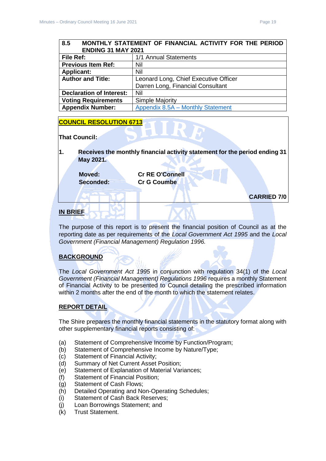# <span id="page-18-0"></span>**8.5 MONTHLY STATEMENT OF FINANCIAL ACTIVITY FOR THE PERIOD ENDING 31 MAY 2021 File Ref:** 1/1 Annual Statements **Previous Item Ref:** Nil **Applicant:** Nil **Author and Title:** Leonard Long, Chief Executive Officer Darren Long, Financial Consultant **Declaration of Interest:** Nil **Voting Requirements** Simple Majority **Appendix Number:** Appendix 8.5A – [Monthly Statement](../../../AGENDAS/2021%20-%20Council%20Meetings/16%20June%202021/ATTACHMENTS/8.5A%20Nungarin%20MFR%2031%20May%202021.pdf)

# **COUNCIL RESOLUTION 6713**

# **That Council:**

**1. Receives the monthly financial activity statement for the period ending 31 May 2021.**

**Moved: Cr RE O'Connell Seconded: Cr G Coumbe**

**CARRIED 7/0**

# **IN BRIEF**

The purpose of this report is to present the financial position of Council as at the reporting date as per requirements of the *Local Government Act 1995* and the *Local Government (Financial Management) Regulation 1996.*

# **BACKGROUND**

The *Local Government Act 1995* in conjunction with regulation 34(1) of the *Local Government (Financial Management) Regulations 1996* requires a monthly Statement of Financial Activity to be presented to Council detailing the prescribed information within 2 months after the end of the month to which the statement relates.

# **REPORT DETAIL**

The Shire prepares the monthly financial statements in the statutory format along with other supplementary financial reports consisting of:

- (a) Statement of Comprehensive Income by Function/Program;
- (b) Statement of Comprehensive Income by Nature/Type;
- (c) Statement of Financial Activity;
- (d) Summary of Net Current Asset Position;
- (e) Statement of Explanation of Material Variances;
- (f) Statement of Financial Position;
- (g) Statement of Cash Flows;
- (h) Detailed Operating and Non-Operating Schedules;
- (i) Statement of Cash Back Reserves;
- (j) Loan Borrowings Statement; and
- (k) Trust Statement.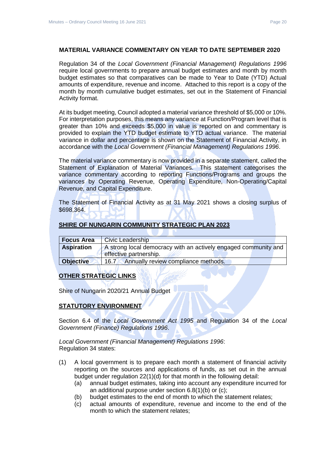# **MATERIAL VARIANCE COMMENTARY ON YEAR TO DATE SEPTEMBER 2020**

Regulation 34 of the *Local Government (Financial Management) Regulations 1996*  require local governments to prepare annual budget estimates and month by month budget estimates so that comparatives can be made to Year to Date (YTD) Actual amounts of expenditure, revenue and income. Attached to this report is a copy of the month by month cumulative budget estimates, set out in the Statement of Financial Activity format.

At its budget meeting, Council adopted a material variance threshold of \$5,000 or 10%. For interpretation purposes, this means any variance at Function/Program level that is greater than 10% and exceeds \$5,000 in value is reported on and commentary is provided to explain the YTD budget estimate to YTD actual variance. The material variance in dollar and percentage is shown on the Statement of Financial Activity, in accordance with the *Local Government (Financial Management) Regulations 1996*.

The material variance commentary is now provided in a separate statement, called the Statement of Explanation of Material Variances. This statement categorises the variance commentary according to reporting Functions/Programs and groups the variances by Operating Revenue, Operating Expenditure, Non-Operating/Capital Revenue, and Capital Expenditure.

The Statement of Financial Activity as at 31 May 2021 shows a closing surplus of \$698,364.

### **SHIRE OF NUNGARIN COMMUNITY STRATEGIC PLAN 2023**

| <b>Focus Area</b> | <b>Civic Leadership</b>                                                                   |
|-------------------|-------------------------------------------------------------------------------------------|
| <b>Aspiration</b> | A strong local democracy with an actively engaged community and<br>effective partnership. |
| <b>Objective</b>  | Annually review compliance methods.<br>16.7                                               |

# **OTHER STRATEGIC LINKS**

Shire of Nungarin 2020/21 Annual Budget

# **STATUTORY ENVIRONMENT**

Section 6.4 of the *Local Government Act 1995* and Regulation 34 of the *Local Government (Finance) Regulations 1996*.

# *Local Government (Financial Management) Regulations 1996*: Regulation 34 states:

- (1) A local government is to prepare each month a statement of financial activity reporting on the sources and applications of funds, as set out in the annual budget under regulation 22(1)(d) for that month in the following detail:
	- (a) annual budget estimates, taking into account any expenditure incurred for an additional purpose under section 6.8(1)(b) or (c);
	- (b) budget estimates to the end of month to which the statement relates;
	- (c) actual amounts of expenditure, revenue and income to the end of the month to which the statement relates;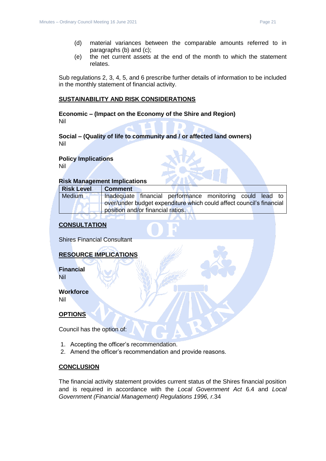- (d) material variances between the comparable amounts referred to in paragraphs (b) and (c);
- (e) the net current assets at the end of the month to which the statement relates.

Sub regulations 2, 3, 4, 5, and 6 prescribe further details of information to be included in the monthly statement of financial activity.

# **SUSTAINABILITY AND RISK CONSIDERATIONS**

**Economic – (Impact on the Economy of the Shire and Region)** Nil

# **Social – (Quality of life to community and / or affected land owners)** Nil

# **Policy Implications**

Nil

# **Risk Management Implications**

| <b>Risk Level</b> | <b>Comment</b>                    |                                                                      |  |  |
|-------------------|-----------------------------------|----------------------------------------------------------------------|--|--|
| Medium            |                                   | Inadequate financial performance monitoring could lead to            |  |  |
|                   |                                   | over/under budget expenditure which could affect council's financial |  |  |
|                   | position and/or financial ratios. |                                                                      |  |  |

# **CONSULTATION**

Shires Financial Consultant

# **RESOURCE IMPLICATIONS**

**Financial** Nil

# **Workforce** Nil

**OPTIONS**

Council has the option of:

- 1. Accepting the officer's recommendation.
- 2. Amend the officer's recommendation and provide reasons.

# **CONCLUSION**

The financial activity statement provides current status of the Shires financial position and is required in accordance with the *Local Government Act* 6.4 and *Local Government (Financial Management) Regulations 1996, r.*34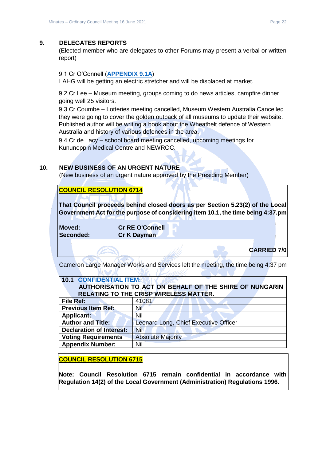# <span id="page-21-0"></span>**9. DELEGATES REPORTS**

(Elected member who are delegates to other Forums may present a verbal or written report)

# <span id="page-21-1"></span>9.1 Cr O'Connell (**[APPENDIX 9.1A](../../../AGENDAS/2021%20-%20Council%20Meetings/16%20June%202021/ATTACHMENTS/9.1A%20Cr%20O%20Connell%20June%20Report.pdf)**)

LAHG will be getting an electric stretcher and will be displaced at market.

<span id="page-21-2"></span>9.2 Cr Lee – Museum meeting, groups coming to do news articles, campfire dinner going well 25 visitors.

<span id="page-21-3"></span>9.3 Cr Coumbe – Lotteries meeting cancelled, Museum Western Australia Cancelled they were going to cover the golden outback of all museums to update their website. Published author will be writing a book about the Wheatbelt defence of Western Australia and history of various defences in the area.

<span id="page-21-4"></span>9.4 Cr de Lacy – school board meeting cancelled, upcoming meetings for Kununoppin Medical Centre and NEWROC.

# <span id="page-21-5"></span>**10. NEW BUSINESS OF AN URGENT NATURE**

)الا مـــا\ا

(New business of an urgent nature approved by the Presiding Member)

# **COUNCIL RESOLUTION 6714**

**That Council proceeds behind closed doors as per Section 5.23(2) of the Local Government Act for the purpose of considering item 10.1, the time being 4:37.pm** 

**Moved: Cr RE O'Connell Seconded: Cr K Dayman**

# **CARRIED 7/0**

Cameron Large Manager Works and Services left the meeting, the time being 4:37 pm

SM. Elector

<span id="page-21-7"></span><span id="page-21-6"></span>

| <b>10.1 CONFIDENTIAL ITEM:</b><br>AUTHORISATION TO ACT ON BEHALF OF THE SHIRE OF NUNGARIN<br><b>RELATING TO THE CRISP WIRELESS MATTER.</b> |                                       |  |  |
|--------------------------------------------------------------------------------------------------------------------------------------------|---------------------------------------|--|--|
| <b>File Ref:</b>                                                                                                                           | 41081                                 |  |  |
| <b>Previous Item Ref:</b>                                                                                                                  | Nil                                   |  |  |
| <b>Applicant:</b>                                                                                                                          | Nil                                   |  |  |
| <b>Author and Title:</b>                                                                                                                   | Leonard Long, Chief Executive Officer |  |  |
| <b>Declaration of Interest:</b>                                                                                                            | <b>Nil</b>                            |  |  |
| <b>Voting Requirements</b>                                                                                                                 | <b>Absolute Majority</b>              |  |  |
| <b>Appendix Number:</b>                                                                                                                    | Nil                                   |  |  |

**COUNCIL RESOLUTION 6715**

**Note: Council Resolution 6715 remain confidential in accordance with Regulation 14(2) of the Local Government (Administration) Regulations 1996.**